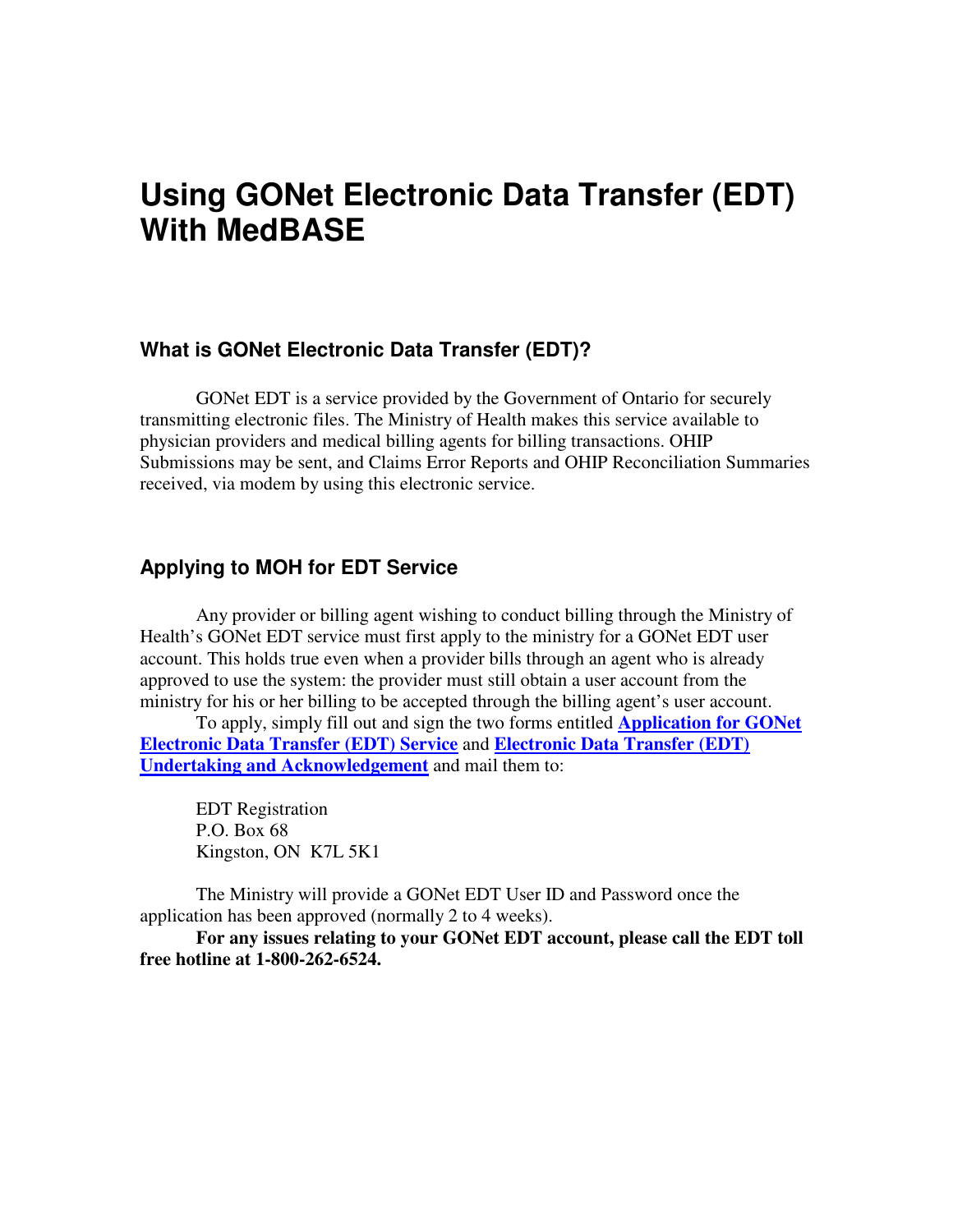# **Using GONet Electronic Data Transfer (EDT) With MedBASE**

#### **What is GONet Electronic Data Transfer (EDT)?**

GONet EDT is a service provided by the Government of Ontario for securely transmitting electronic files. The Ministry of Health makes this service available to physician providers and medical billing agents for billing transactions. OHIP Submissions may be sent, and Claims Error Reports and OHIP Reconciliation Summaries received, via modem by using this electronic service.

#### **Applying to MOH for EDT Service**

Any provider or billing agent wishing to conduct billing through the Ministry of Health's GONet EDT service must first apply to the ministry for a GONet EDT user account. This holds true even when a provider bills through an agent who is already approved to use the system: the provider must still obtain a user account from the ministry for his or her billing to be accepted through the billing agent's user account.

To apply, simply fill out and sign the two forms entitled **Application for GONet Electronic Data Transfer (EDT) Service** and **Electronic Data Transfer (EDT) Undertaking and Acknowledgement** and mail them to:

EDT Registration P.O. Box 68 Kingston, ON K7L 5K1

The Ministry will provide a GONet EDT User ID and Password once the application has been approved (normally 2 to 4 weeks).

**For any issues relating to your GONet EDT account, please call the EDT toll free hotline at 1-800-262-6524.**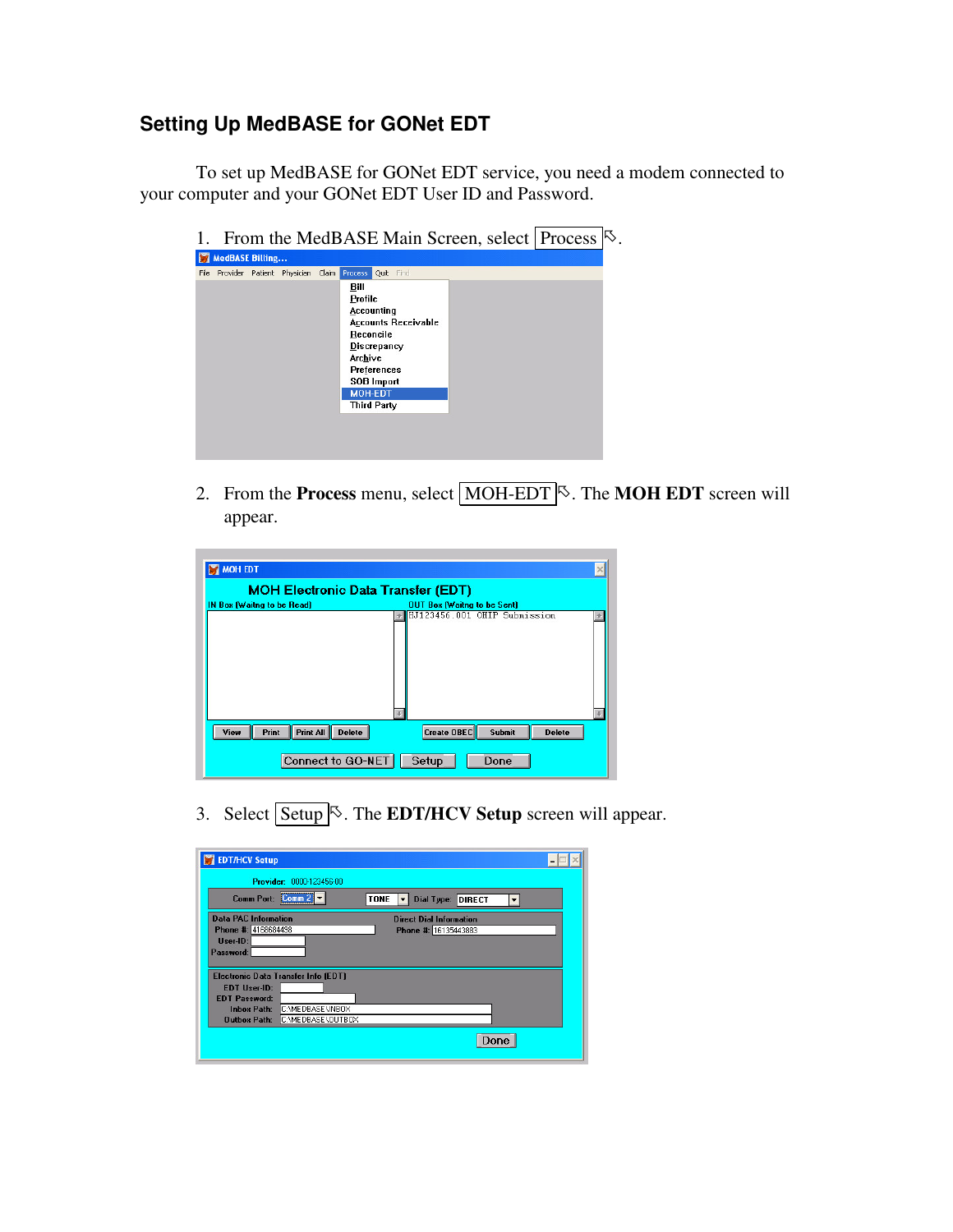# **Setting Up MedBASE for GONet EDT**

To set up MedBASE for GONet EDT service, you need a modem connected to your computer and your GONet EDT User ID and Password.

|                                               | 尽<br>From the MedBASE Main Screen, select Process                                                                                                                              |
|-----------------------------------------------|--------------------------------------------------------------------------------------------------------------------------------------------------------------------------------|
| <b>MedBASE Billing</b>                        |                                                                                                                                                                                |
| Provider Patient Physician<br>Claim  <br>File | Find<br><b>Process</b><br>Quit                                                                                                                                                 |
|                                               | Bill<br>Profile<br>Accounting<br><b>Accounts Receivable</b><br>Reconcile<br>Discrepancy<br>Archive<br>Preferences<br><b>SOB Import</b><br><b>MOH-EDT</b><br><b>Third Party</b> |

2. From the **Process** menu, select **MOH-EDT**<sup> $\&$ </sup>. The **MOH EDT** screen will appear.

| MOH EDT                                     |                                               |
|---------------------------------------------|-----------------------------------------------|
| <b>MOH Electronic Data Transfer (EDT)</b>   |                                               |
| IN Box (Waitng to be Read)                  | OUT Box (Waitng to be Sent)                   |
|                                             | HJ123456.001 OHIP Submission                  |
| Print All<br>Print<br>View<br><b>Delete</b> | Create OBEC<br><b>Submit</b><br><b>Delete</b> |
| Connect to GO-NET                           | Setup<br>Done                                 |

3. Select **Setup**<sup>5</sup>. The **EDT/HCV Setup** screen will appear.

| <b>EDT/HCV Setup</b>                     |                                  |
|------------------------------------------|----------------------------------|
| Provider: 0000-123456-00                 |                                  |
| Comm Port: Comm 2                        | <b>TONE</b><br>Dial Type: DIRECT |
| <b>Data PAC Information</b>              | <b>Direct Dial Information</b>   |
| Phone #: 4168684498                      | Phone #: 16135443883             |
| User-ID:                                 |                                  |
| Password:                                |                                  |
|                                          |                                  |
| Electronic Data Transfer Info (EDT)      |                                  |
| <b>EDT User-ID:</b>                      |                                  |
| <b>EDT Password:</b>                     |                                  |
| C:\MEDBASE\INBOX<br><b>Inbox Path:</b>   |                                  |
| C:\MEDBASE\OUTBOX<br><b>Outbox Path:</b> |                                  |
|                                          | Done                             |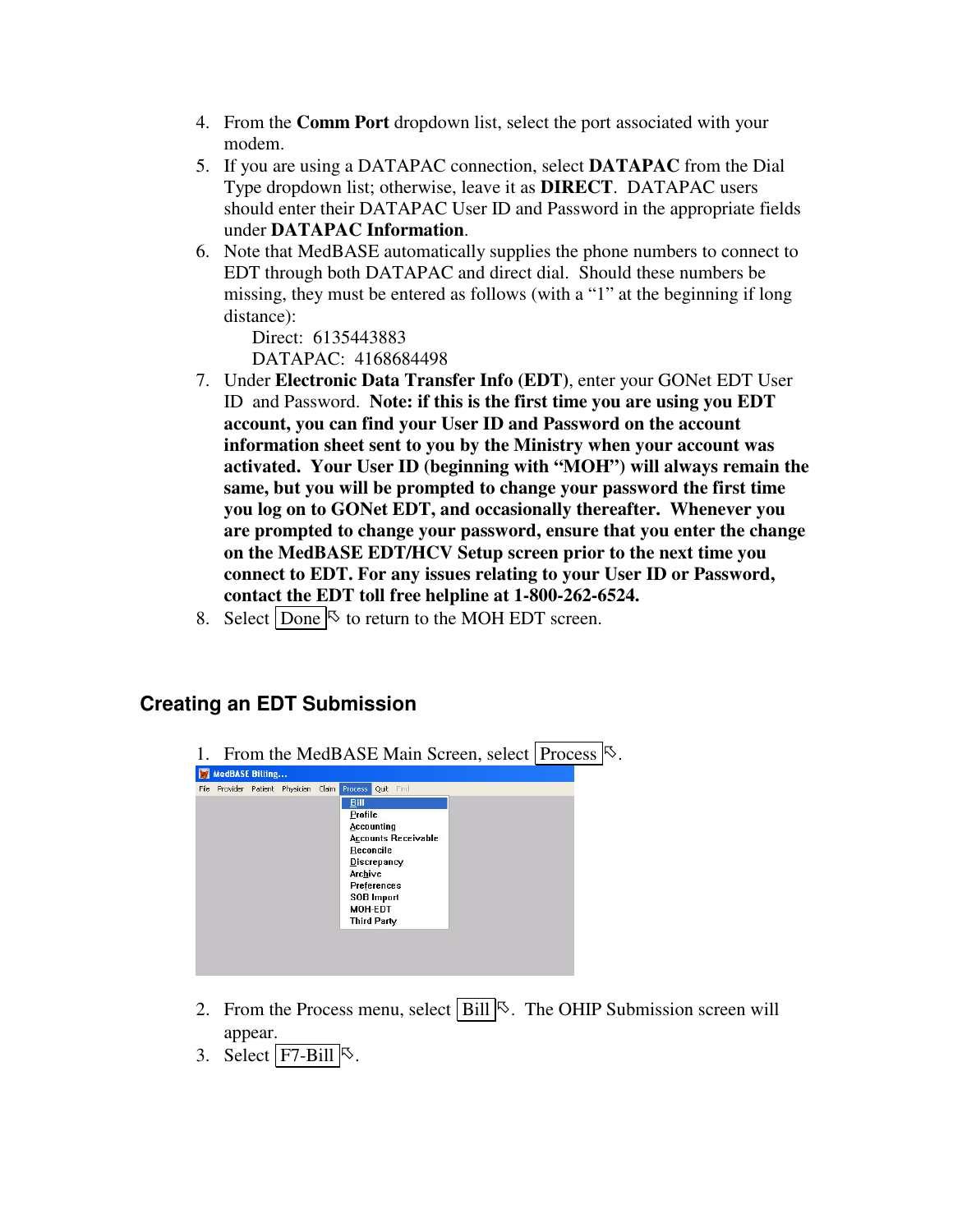- 4. From the **Comm Port** dropdown list, select the port associated with your modem.
- 5. If you are using a DATAPAC connection, select **DATAPAC** from the Dial Type dropdown list; otherwise, leave it as **DIRECT**. DATAPAC users should enter their DATAPAC User ID and Password in the appropriate fields under **DATAPAC Information**.
- 6. Note that MedBASE automatically supplies the phone numbers to connect to EDT through both DATAPAC and direct dial. Should these numbers be missing, they must be entered as follows (with a "1" at the beginning if long distance):

Direct: 6135443883 DATAPAC: 4168684498

- 7. Under **Electronic Data Transfer Info (EDT)**, enter your GONet EDT User ID and Password. **Note: if this is the first time you are using you EDT account, you can find your User ID and Password on the account information sheet sent to you by the Ministry when your account was activated. Your User ID (beginning with "MOH") will always remain the same, but you will be prompted to change your password the first time you log on to GONet EDT, and occasionally thereafter. Whenever you are prompted to change your password, ensure that you enter the change on the MedBASE EDT/HCV Setup screen prior to the next time you connect to EDT. For any issues relating to your User ID or Password, contact the EDT toll free helpline at 1-800-262-6524.**
- 8. Select  $\boxed{\text{Done}}$  to return to the MOH EDT screen.

#### **Creating an EDT Submission**

1. From the MedBASE Main Screen, select Process  $\mathbb{S}$ .

| Profile<br><b>Accounting</b><br><b>Accounts Receivable</b><br>Reconcile<br>Discrepancy<br>Archive<br>Preferences<br><b>SOB</b> Import<br>MOH-EDT<br><b>Third Party</b> | File |  | Provider Patient Physician | Claim | <b>Process</b><br><b>Bill</b> | Quit Find |  |  |  |
|------------------------------------------------------------------------------------------------------------------------------------------------------------------------|------|--|----------------------------|-------|-------------------------------|-----------|--|--|--|
|                                                                                                                                                                        |      |  |                            |       |                               |           |  |  |  |
|                                                                                                                                                                        |      |  |                            |       |                               |           |  |  |  |
|                                                                                                                                                                        |      |  |                            |       |                               |           |  |  |  |
|                                                                                                                                                                        |      |  |                            |       |                               |           |  |  |  |
|                                                                                                                                                                        |      |  |                            |       |                               |           |  |  |  |
|                                                                                                                                                                        |      |  |                            |       |                               |           |  |  |  |
|                                                                                                                                                                        |      |  |                            |       |                               |           |  |  |  |
|                                                                                                                                                                        |      |  |                            |       |                               |           |  |  |  |
|                                                                                                                                                                        |      |  |                            |       |                               |           |  |  |  |
|                                                                                                                                                                        |      |  |                            |       |                               |           |  |  |  |
|                                                                                                                                                                        |      |  |                            |       |                               |           |  |  |  |

- 2. From the Process menu, select  $\text{Bill} \&$ . The OHIP Submission screen will appear.
- 3. Select  $\boxed{F7-Bill}$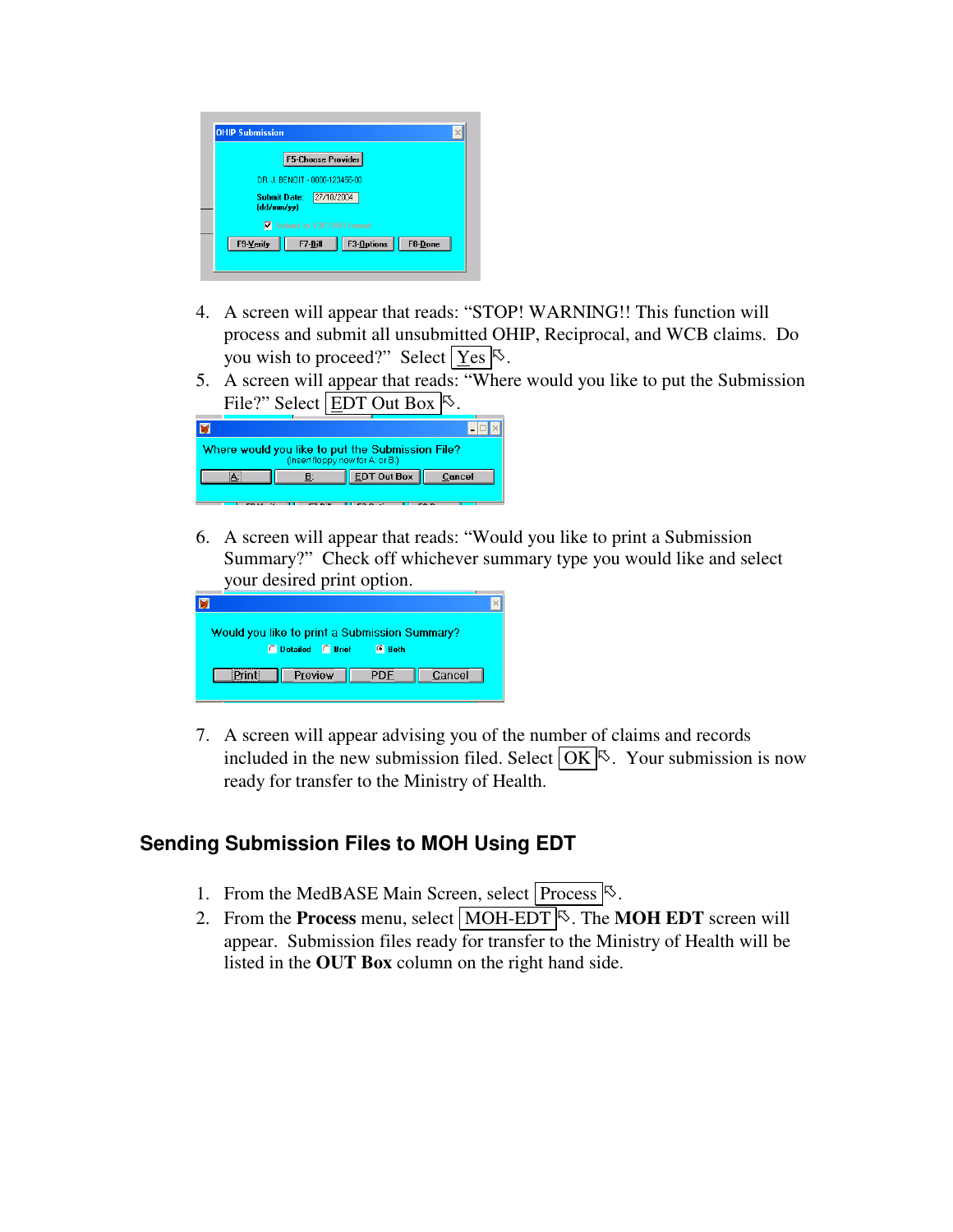|                               | <b>F5-Choose Provider</b> |            |         |  |
|-------------------------------|---------------------------|------------|---------|--|
| DR J. RENOIT - 0000-123456-00 |                           |            |         |  |
| Submit Date:<br>(dd/mm/vv)    | 27/10/2004                |            |         |  |
|                               | Submit in Y2K/V03 format  |            |         |  |
| F9-Verify                     | F7-Bill                   | F3-Options | F8-Done |  |

- 4. A screen will appear that reads: "STOP! WARNING!! This function will process and submit all unsubmitted OHIP, Reciprocal, and WCB claims. Do you wish to proceed?" Select  $\boxed{\text{Yes}}$ .
- 5. A screen will appear that reads: "Where would you like to put the Submission File?" Select EDT Out Box  $\frac{1}{2}$ .

|  | Where would you like to put the Submission File?<br>(Insert floppy now for A: or B:) |        |
|--|--------------------------------------------------------------------------------------|--------|
|  | <b>EDT Out Box</b>                                                                   | Cancel |
|  |                                                                                      |        |

6. A screen will appear that reads: "Would you like to print a Submission Summary?" Check off whichever summary type you would like and select your desired print option.

| Would you like to print a Submission Summary? |                    |               |        |
|-----------------------------------------------|--------------------|---------------|--------|
|                                               | C Detailed C Brief | <b>C</b> Both |        |
|                                               | Preview            | <b>I</b> PDF  | Cancel |
|                                               |                    |               |        |

7. A screen will appear advising you of the number of claims and records included in the new submission filed. Select  $\overline{OK}$  . Your submission is now ready for transfer to the Ministry of Health.

# **Sending Submission Files to MOH Using EDT**

- 1. From the MedBASE Main Screen, select Process  $\mathbb{S}$ .
- 2. From the **Process** menu, select **MOH-EDT**<sup> $\&$ </sup>. The **MOH EDT** screen will appear. Submission files ready for transfer to the Ministry of Health will be listed in the **OUT Box** column on the right hand side.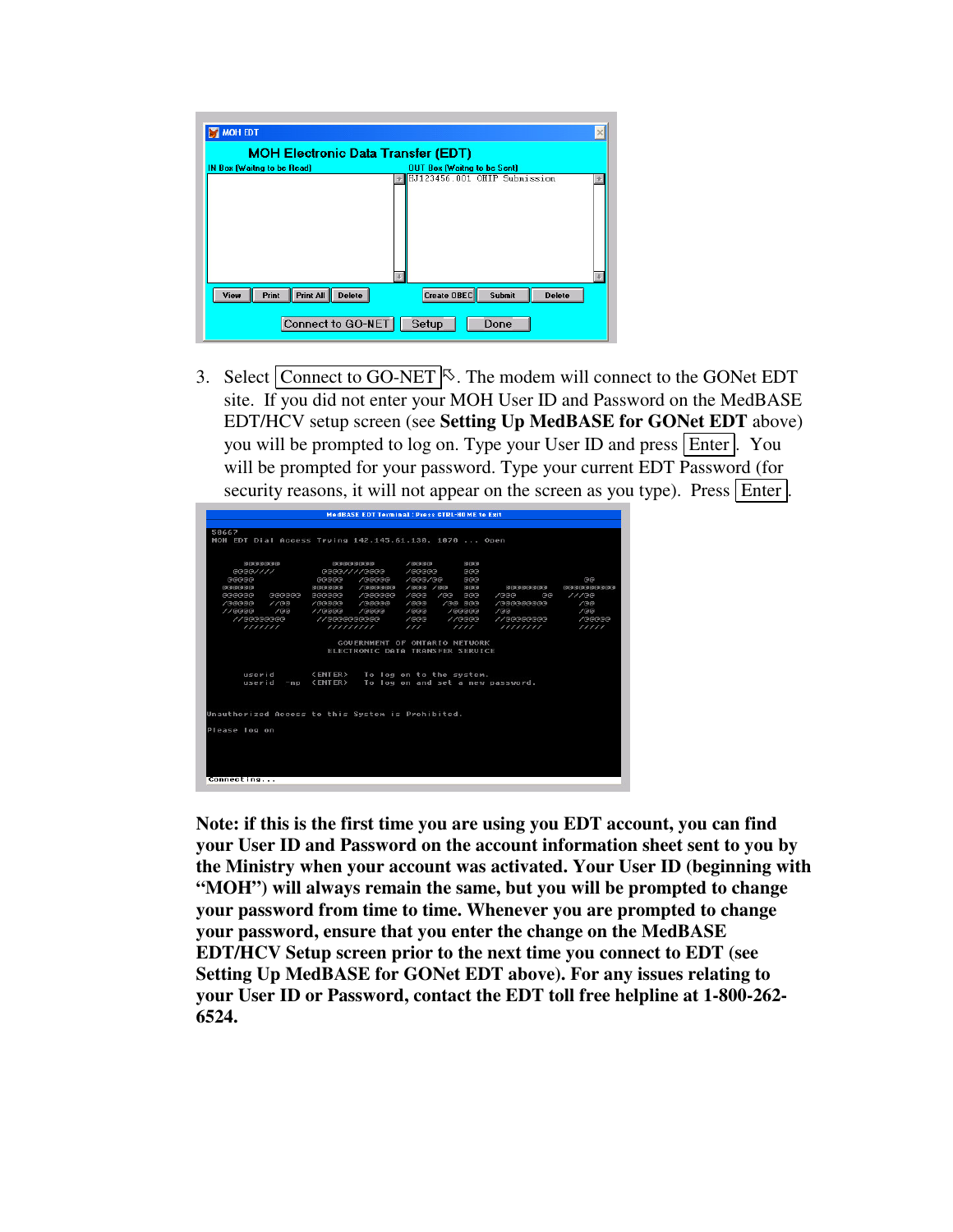| <b>MOH Electronic Data Transfer (EDT)</b> |                                                             |  |  |
|-------------------------------------------|-------------------------------------------------------------|--|--|
| IN Box (Waitng to be Read)                | OUT Box (Waitng to be Sent)<br>HJ123456.001 OHIP Submission |  |  |
|                                           |                                                             |  |  |
|                                           |                                                             |  |  |

3. Select Connect to GO-NET  $\heartsuit$ . The modem will connect to the GONet EDT site. If you did not enter your MOH User ID and Password on the MedBASE EDT/HCV setup screen (see **Setting Up MedBASE for GONet EDT** above) you will be prompted to log on. Type your User ID and press Enter . You will be prompted for your password. Type your current EDT Password (for security reasons, it will not appear on the screen as you type). Press Enter.

|                                                       |                                                   | <b>MedBASE EDT Terminal: Press CTRL-HOME to Exit</b> |                                      |                 |
|-------------------------------------------------------|---------------------------------------------------|------------------------------------------------------|--------------------------------------|-----------------|
|                                                       |                                                   |                                                      |                                      |                 |
| 50667                                                 |                                                   |                                                      |                                      |                 |
| MOH EDT Dial Access Trying 142.145.61.130, 1070  Open |                                                   |                                                      |                                      |                 |
|                                                       |                                                   |                                                      |                                      |                 |
| eeeeeee                                               | ବାବାବାବାବାବାବ                                     | $/$ @@@@<br>GGG                                      |                                      |                 |
| $G = G / 11$                                          | @@@@////@@@@                                      | $/$ aaaaa<br>aaa                                     |                                      |                 |
| GGGGG                                                 | 99999<br>/00000                                   | /qqq/qqq<br>回回回                                      |                                      | 回回              |
| aaaaaa                                                | 86888<br>$/$ aaaaaa                               | $/$ aaa $/$ aa<br>aaa                                | <b>GBBBBBBBB</b>                     | 99999999999     |
| 888888<br>GGGGGG                                      | /0000000<br>999999                                | $/$ aaa<br>$/$ ee<br><b>BBB</b>                      | $/$ eee<br>ଭାଷ                       | 11/100          |
| $/$ eeeee<br>//@@                                     | /00000<br>/QQQQ                                   | /aa aaa<br>$\sqrt{a}$ aa                             | / GOODDOOOO                          | $/$ बिबि        |
| $/$ G G<br>//GGGG<br>// <sub>@@@@@@@@</sub>           | $//0 = 0$<br>$/$ a a a a<br>1/1999999999999       | $\sqrt{a}$ aa<br>$/$ GGGGG<br>$/$ aaa                | $/$ G(B)<br>// <sub>6</sub> 66666666 | /100            |
| 1111111                                               | 1111111111                                        | $1/$ GGGG<br>$\frac{1}{2}$<br>1111                   | 111111111                            | /00000<br>11111 |
|                                                       |                                                   |                                                      |                                      |                 |
|                                                       |                                                   | GOUFRNMENT OF ONTARIO NETWORK                        |                                      |                 |
|                                                       |                                                   | ELECTRONIC DATA TRANSFER SERUICE                     |                                      |                 |
|                                                       |                                                   |                                                      |                                      |                 |
|                                                       |                                                   |                                                      |                                      |                 |
| userid                                                | <enter> To log on to the system.</enter>          |                                                      |                                      |                 |
| userid<br>$-np$                                       | <enter> To log on and set a new password.</enter> |                                                      |                                      |                 |
|                                                       |                                                   |                                                      |                                      |                 |
|                                                       |                                                   |                                                      |                                      |                 |
| Unauthorized Access to this System is Prohibited.     |                                                   |                                                      |                                      |                 |
|                                                       |                                                   |                                                      |                                      |                 |
| Please log on                                         |                                                   |                                                      |                                      |                 |
|                                                       |                                                   |                                                      |                                      |                 |
|                                                       |                                                   |                                                      |                                      |                 |
|                                                       |                                                   |                                                      |                                      |                 |
|                                                       |                                                   |                                                      |                                      |                 |
| Connecting                                            |                                                   |                                                      |                                      |                 |
|                                                       |                                                   |                                                      |                                      |                 |

**Note: if this is the first time you are using you EDT account, you can find your User ID and Password on the account information sheet sent to you by the Ministry when your account was activated. Your User ID (beginning with "MOH") will always remain the same, but you will be prompted to change your password from time to time. Whenever you are prompted to change your password, ensure that you enter the change on the MedBASE EDT/HCV Setup screen prior to the next time you connect to EDT (see Setting Up MedBASE for GONet EDT above). For any issues relating to your User ID or Password, contact the EDT toll free helpline at 1-800-262- 6524.**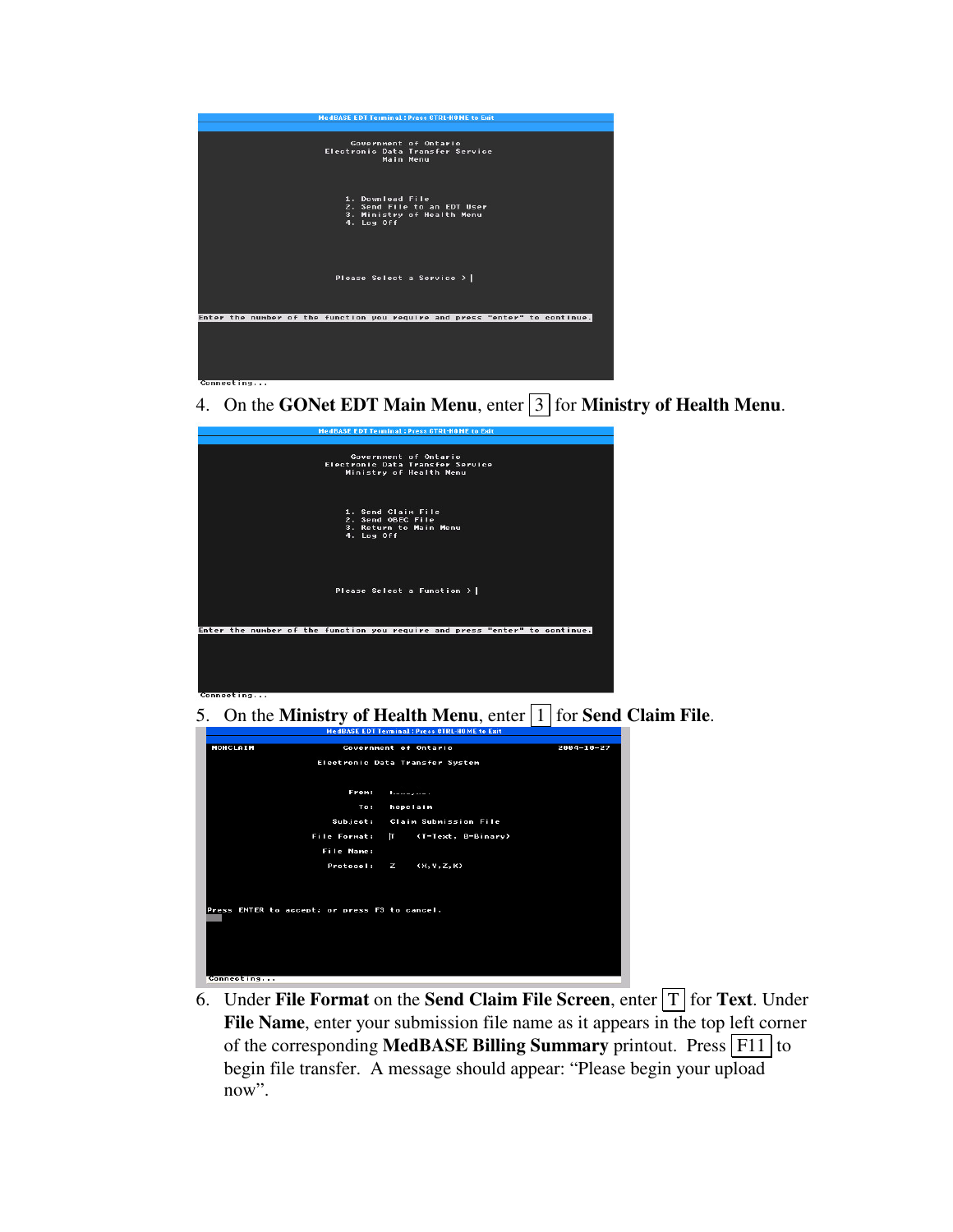

4. On the **GONet EDT Main Menu**, enter 3 for **Ministry of Health Menu**.



5. On the **Ministry of Health Menu**, enter 1 for **Send Claim File**.



6. Under **File Format** on the **Send Claim File Screen**, enter  $T$  for **Text**. Under **File Name**, enter your submission file name as it appears in the top left corner of the corresponding **MedBASE Billing Summary** printout. Press F11 to begin file transfer. A message should appear: "Please begin your upload now".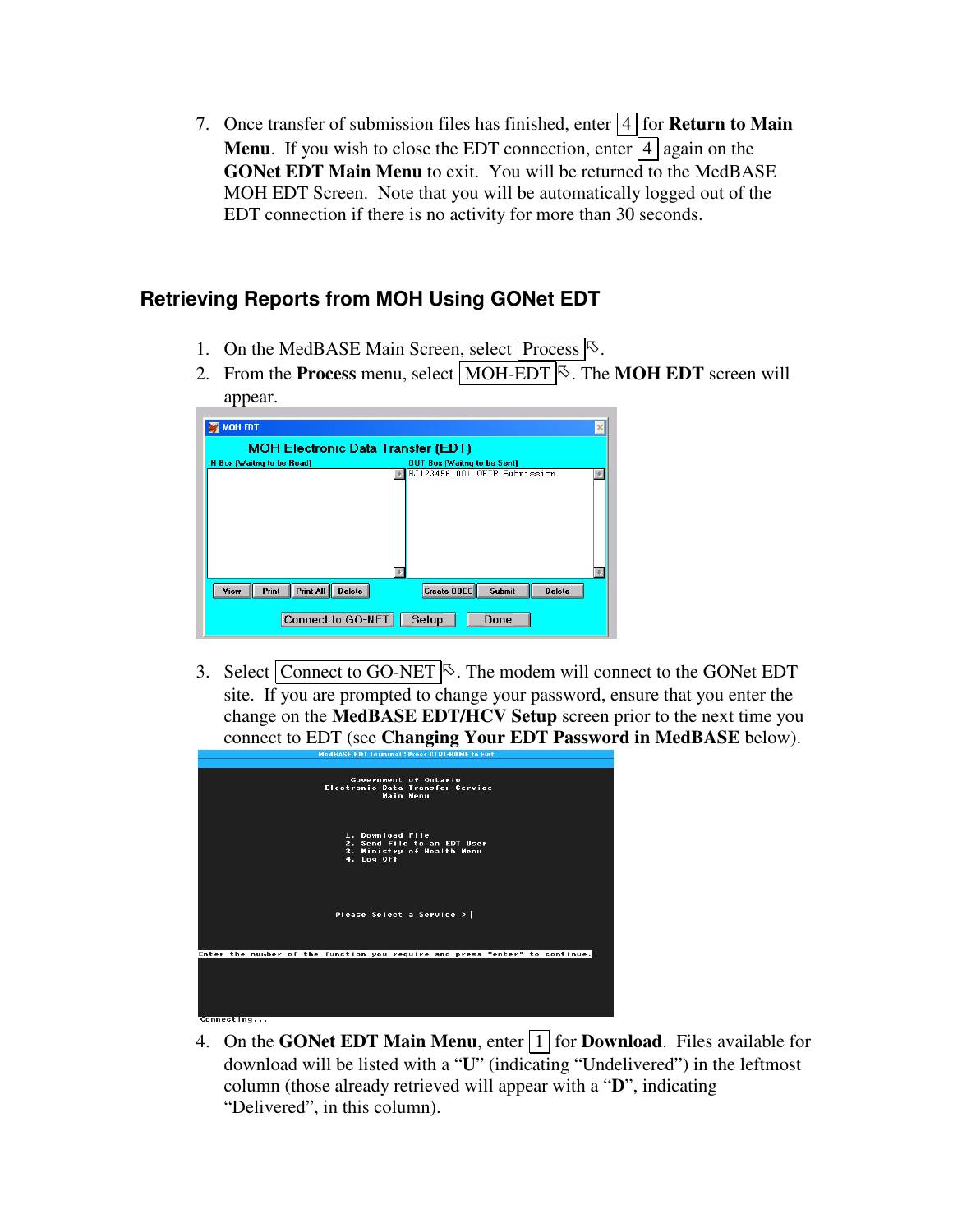7. Once transfer of submission files has finished, enter  $\boxed{4}$  for **Return to Main Menu.** If you wish to close the EDT connection, enter  $\boxed{4}$  again on the **GONet EDT Main Menu** to exit. You will be returned to the MedBASE MOH EDT Screen. Note that you will be automatically logged out of the EDT connection if there is no activity for more than 30 seconds.

## **Retrieving Reports from MOH Using GONet EDT**

- 1. On the MedBASE Main Screen, select Process  $\mathbb{S}$ .
- 2. From the **Process** menu, select **MOH-EDT**<sup> $\&$ </sup>. The **MOH EDT** screen will appear.

| MOH EDT                                     |                                               |
|---------------------------------------------|-----------------------------------------------|
| <b>MOH Electronic Data Transfer (EDT)</b>   |                                               |
| IN Box (Waitng to be Read)                  | <b>OUT Box (Waitng to be Sent)</b>            |
|                                             | HJ123456.001 OHIP Submission                  |
| Print<br>Print All<br>View<br><b>Delete</b> | Create OBEC<br><b>Submit</b><br><b>Delete</b> |
| Connect to GO-NET                           | Setup<br>Done                                 |

3. Select Connect to GO-NET  $\sim$ . The modem will connect to the GONet EDT site. If you are prompted to change your password, ensure that you enter the change on the **MedBASE EDT/HCV Setup** screen prior to the next time you connect to EDT (see **Changing Your EDT Password in MedBASE** below).



4. On the **GONet EDT Main Menu**, enter 1 for **Download**. Files available for download will be listed with a "**U**" (indicating "Undelivered") in the leftmost column (those already retrieved will appear with a "**D**", indicating "Delivered", in this column).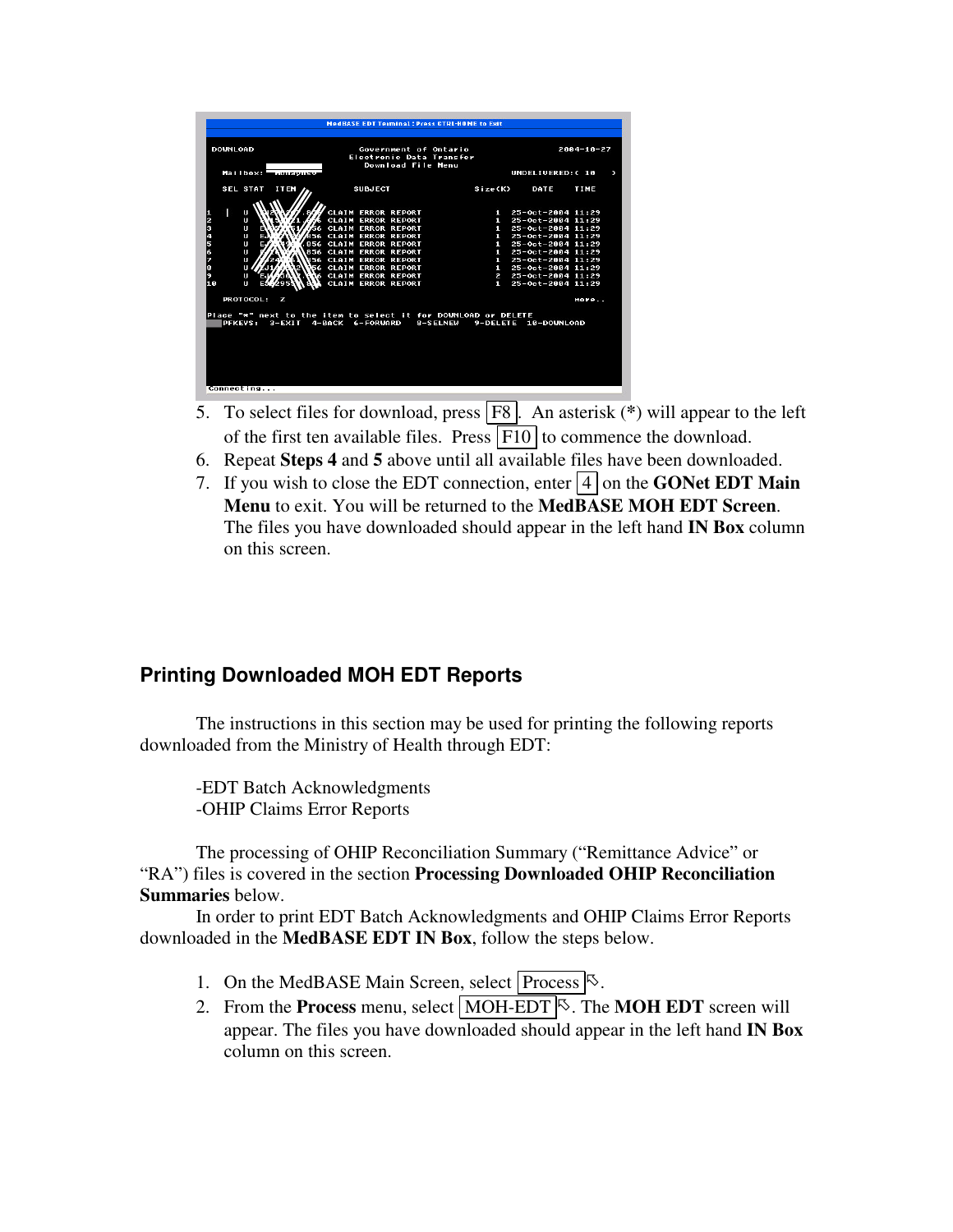- 5. To select files for download, press F8 . An asterisk (**\***) will appear to the left of the first ten available files. Press  $\boxed{F10}$  to commence the download.
- 6. Repeat **Steps 4** and **5** above until all available files have been downloaded.
- 7. If you wish to close the EDT connection, enter  $|4|$  on the **GONet EDT Main Menu** to exit. You will be returned to the **MedBASE MOH EDT Screen**. The files you have downloaded should appear in the left hand **IN Box** column on this screen.

#### **Printing Downloaded MOH EDT Reports**

The instructions in this section may be used for printing the following reports downloaded from the Ministry of Health through EDT:

-EDT Batch Acknowledgments -OHIP Claims Error Reports

The processing of OHIP Reconciliation Summary ("Remittance Advice" or "RA") files is covered in the section **Processing Downloaded OHIP Reconciliation Summaries** below.

In order to print EDT Batch Acknowledgments and OHIP Claims Error Reports downloaded in the **MedBASE EDT IN Box**, follow the steps below.

- 1. On the MedBASE Main Screen, select Process  $\mathbb{S}$ .
- 2. From the **Process** menu, select **MOH-EDT**<sup>S</sup>. The **MOH EDT** screen will appear. The files you have downloaded should appear in the left hand **IN Box** column on this screen.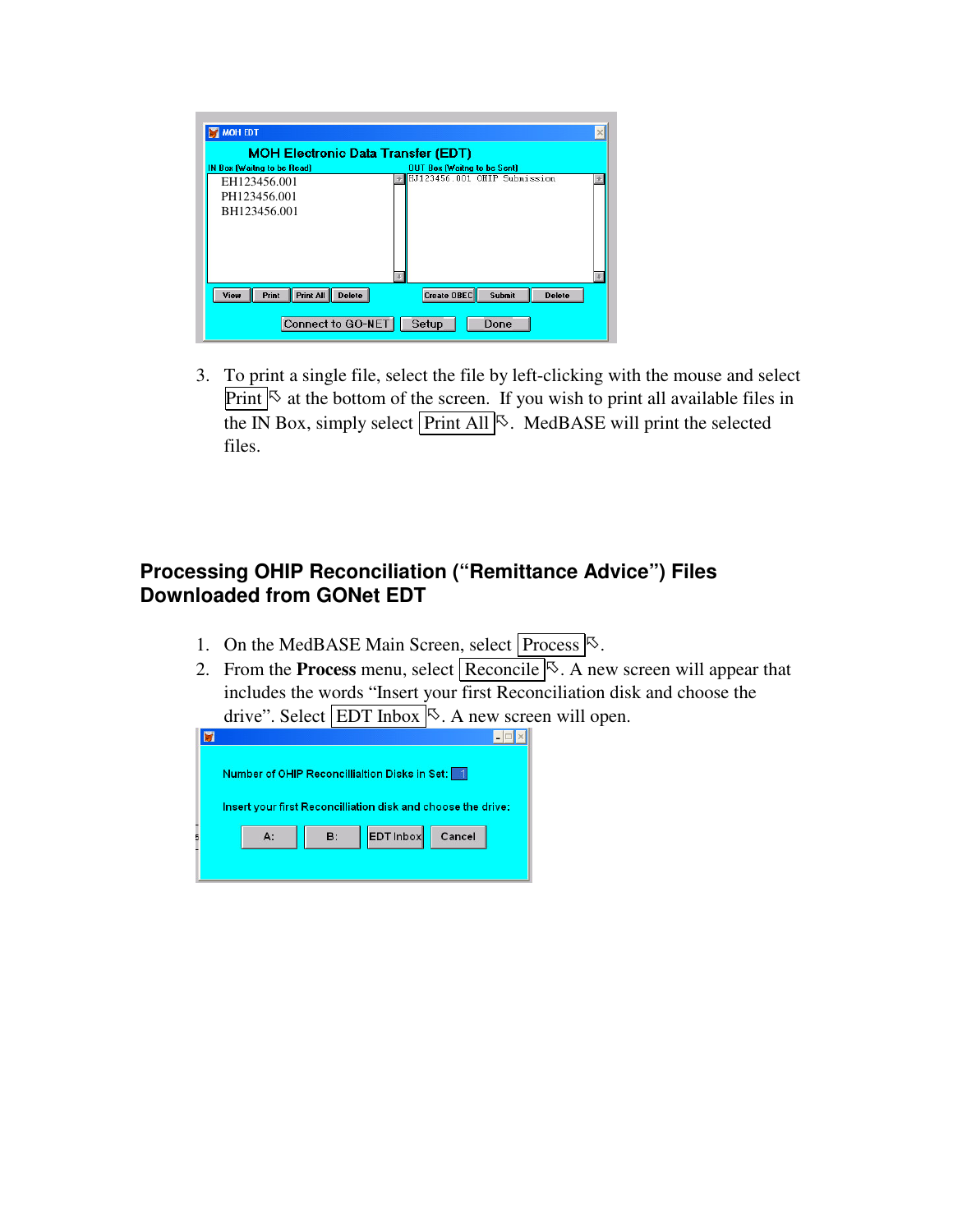| <b>MOH EDT</b>                                     | $\times$                                      |
|----------------------------------------------------|-----------------------------------------------|
| <b>MOH Electronic Data Transfer (EDT)</b>          |                                               |
| IN Box (Waitng to be Read)                         | OUT Box (Waitng to be Sent)                   |
| EH123456.001                                       | HJ123456.001 OHIP Submission                  |
| PH123456.001                                       |                                               |
| BH123456.001                                       |                                               |
|                                                    |                                               |
|                                                    |                                               |
|                                                    |                                               |
|                                                    |                                               |
|                                                    |                                               |
| <b>Print All</b><br>Print<br>View<br><b>Delete</b> | Create OBEC<br><b>Submit</b><br><b>Delete</b> |
| Connect to GO-NET                                  | Setup<br>Done                                 |

3. To print a single file, select the file by left-clicking with the mouse and select Print  $\&$  at the bottom of the screen. If you wish to print all available files in the IN Box, simply select  $\boxed{\text{Print All}}$ . MedBASE will print the selected files.

### **Processing OHIP Reconciliation ("Remittance Advice") Files Downloaded from GONet EDT**

- 1. On the MedBASE Main Screen, select  $\boxed{\text{Process}}$ .
- 2. From the **Process** menu, select **Reconcile**  $\sqrt{8}$ . A new screen will appear that includes the words "Insert your first Reconciliation disk and choose the drive". Select  $\boxed{\text{EDT}$  Inbox  $\&$ . A new screen will open.

| Number of OHIP Reconcillialtion Disks in Set:   1            |    |                        |        |
|--------------------------------------------------------------|----|------------------------|--------|
| Insert your first Reconcilliation disk and choose the drive: |    |                        |        |
|                                                              | A: | <b>EDT Inbox</b><br>B: | Cancel |
|                                                              |    |                        |        |